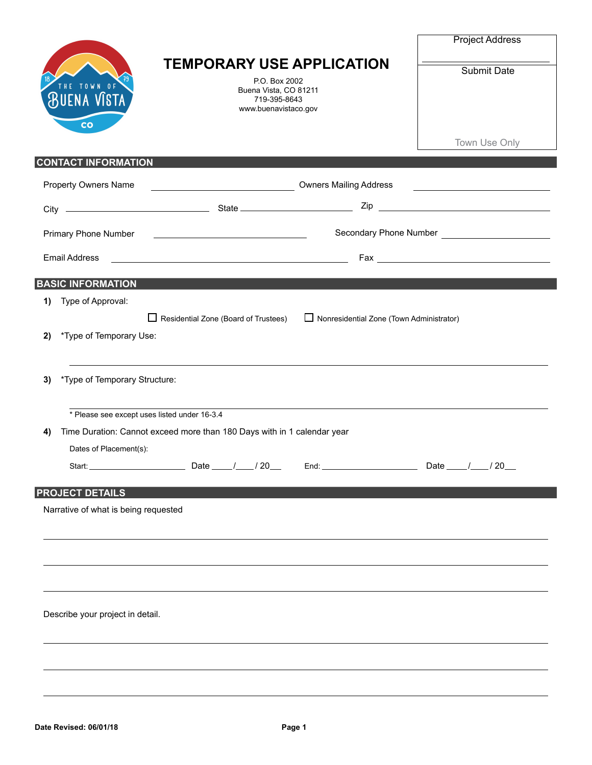| HE TOWN OF<br><b>BUENA VISTA</b><br>co             | <b>TEMPORARY USE APPLICATION</b><br>P.O. Box 2002<br>Buena Vista, CO 81211<br>719-395-8643<br>www.buenavistaco.gov    |                                                                                                                | Submit Date                                                                                                           |
|----------------------------------------------------|-----------------------------------------------------------------------------------------------------------------------|----------------------------------------------------------------------------------------------------------------|-----------------------------------------------------------------------------------------------------------------------|
|                                                    |                                                                                                                       |                                                                                                                | Town Use Only                                                                                                         |
| <b>CONTACT INFORMATION</b><br>Property Owners Name |                                                                                                                       | Dwners Mailing Address Community Community Community Community Community Community Community Community Communi | <u> Listen de la construcción de la construcción de la construcción de la construcción de la construcción de la c</u> |
|                                                    |                                                                                                                       |                                                                                                                |                                                                                                                       |
| Primary Phone Number                               | <u> 1999 - Johann Harry Harry Harry Harry Harry Harry Harry Harry Harry Harry Harry Harry Harry Harry Harry Harry</u> |                                                                                                                | Secondary Phone Number __________________________                                                                     |
| <b>Email Address</b>                               | <u> 1989 - Johann Barn, fransk politik (d. 1989)</u>                                                                  |                                                                                                                |                                                                                                                       |
| <b>BASIC INFORMATION</b>                           |                                                                                                                       |                                                                                                                |                                                                                                                       |
| Type of Approval:<br>1)                            |                                                                                                                       |                                                                                                                |                                                                                                                       |
| *Type of Temporary Use:<br>2)                      | $\Box$ Residential Zone (Board of Trustees)                                                                           | $\Box$ Nonresidential Zone (Town Administrator)                                                                |                                                                                                                       |
| *Type of Temporary Structure:<br>3)                |                                                                                                                       |                                                                                                                |                                                                                                                       |
| * Please see except uses listed under 16-3.4       |                                                                                                                       |                                                                                                                |                                                                                                                       |
| 4)                                                 | Time Duration: Cannot exceed more than 180 Days with in 1 calendar year                                               |                                                                                                                |                                                                                                                       |
| Dates of Placement(s):<br>Start: _                 | Date $\_\_\_\$<br>/20                                                                                                 | End:                                                                                                           | Date $\_\_\$<br>$\frac{1}{20}$                                                                                        |
| <b>PROJECT DETAILS</b>                             |                                                                                                                       |                                                                                                                |                                                                                                                       |
| Narrative of what is being requested               |                                                                                                                       |                                                                                                                |                                                                                                                       |
|                                                    |                                                                                                                       |                                                                                                                |                                                                                                                       |
|                                                    |                                                                                                                       |                                                                                                                |                                                                                                                       |
|                                                    |                                                                                                                       |                                                                                                                |                                                                                                                       |
| Describe your project in detail.                   |                                                                                                                       |                                                                                                                |                                                                                                                       |
|                                                    |                                                                                                                       |                                                                                                                |                                                                                                                       |
|                                                    |                                                                                                                       |                                                                                                                |                                                                                                                       |
|                                                    |                                                                                                                       |                                                                                                                |                                                                                                                       |